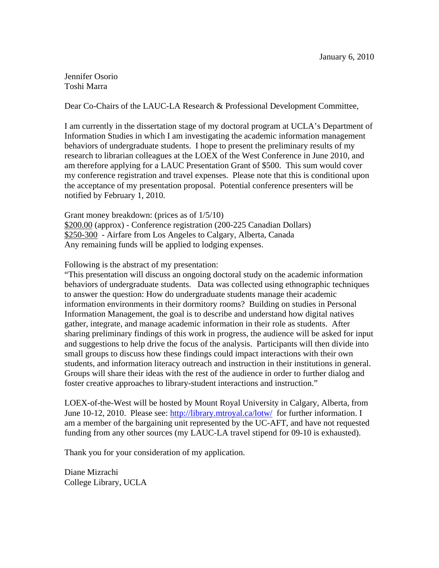Jennifer Osorio Toshi Marra

Dear Co-Chairs of the LAUC-LA Research & Professional Development Committee,

I am currently in the dissertation stage of my doctoral program at UCLA's Department of Information Studies in which I am investigating the academic information management behaviors of undergraduate students. I hope to present the preliminary results of my research to librarian colleagues at the LOEX of the West Conference in June 2010, and am therefore applying for a LAUC Presentation Grant of \$500. This sum would cover my conference registration and travel expenses. Please note that this is conditional upon the acceptance of my presentation proposal. Potential conference presenters will be notified by February 1, 2010.

Grant money breakdown: (prices as of 1/5/10) \$200.00 (approx) - Conference registration (200-225 Canadian Dollars) \$250-300 - Airfare from Los Angeles to Calgary, Alberta, Canada Any remaining funds will be applied to lodging expenses.

Following is the abstract of my presentation:

"This presentation will discuss an ongoing doctoral study on the academic information behaviors of undergraduate students. Data was collected using ethnographic techniques to answer the question: How do undergraduate students manage their academic information environments in their dormitory rooms? Building on studies in Personal Information Management, the goal is to describe and understand how digital natives gather, integrate, and manage academic information in their role as students. After sharing preliminary findings of this work in progress, the audience will be asked for input and suggestions to help drive the focus of the analysis. Participants will then divide into small groups to discuss how these findings could impact interactions with their own students, and information literacy outreach and instruction in their institutions in general. Groups will share their ideas with the rest of the audience in order to further dialog and foster creative approaches to library-student interactions and instruction."

LOEX-of-the-West will be hosted by Mount Royal University in Calgary, Alberta, from June 10-12, 2010. Please see: <http://library.mtroyal.ca/lotw/>for further information. I am a member of the bargaining unit represented by the UC-AFT, and have not requested funding from any other sources (my LAUC-LA travel stipend for 09-10 is exhausted).

Thank you for your consideration of my application.

Diane Mizrachi College Library, UCLA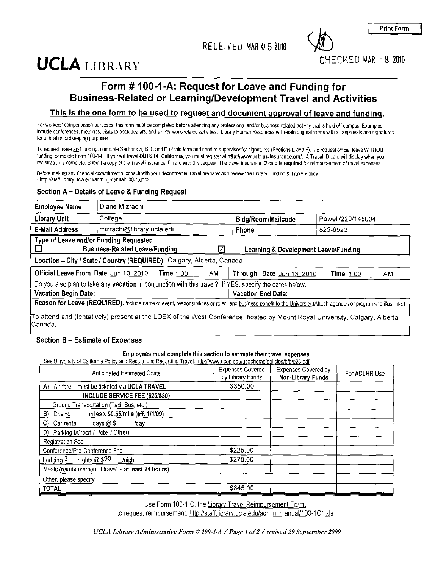RECEIVED MAR 0 5 2010

**Print Form** 

CHECKED MAR -8 2010

# **UCLA LIBRARY**

## Form #100-1-A: Request for Leave and Funding for **Business-Related or Learning/Development Travel and Activities**

#### This is the one form to be used to request and document approval of leave and funding.

For workers' compensation purposes, this form must be completed before attending any professional and/or business-related activity that is held off-campus. Examples include conferences, meetings, visits to book dealers, and similar work-related activities. Library Human Resources will retain original forms with all approvals and signatures for official recordkeeping purposes.

To request leave and funding, complete Sections A, B, C and D of this form and send to supervisor for signatures (Sections E and F). To request official leave WITHOUT funding, complete Form 100-1-B. If you will travel OUTSIDE California, you must register at http://www.uctrips-insurance.org/. A Travel ID card will display when your registration is complete. Submit a copy of the Travel insurance ID card with this request. The travel insurance ID card is required for reimbursement of travel expenses.

Before making any financial commitments, consult with your departmental travel preparer and review the Library Funding & Travel Policy <http://staff.library.ucla.edu/admin\_manual/100-1.doc>.

#### Section A - Details of Leave & Funding Request

| <b>Employee Name</b>        | Diane Mizrachi                                                                                                                                            |    |                                      |                   |  |
|-----------------------------|-----------------------------------------------------------------------------------------------------------------------------------------------------------|----|--------------------------------------|-------------------|--|
| <b>Library Unit</b>         | College                                                                                                                                                   |    | <b>Bldg/Room/Mailcode</b>            | Powell/220/145004 |  |
| <b>E-Mail Address</b>       | mizrachi@library.ucla.edu                                                                                                                                 |    | Phone                                | 825-6523          |  |
|                             | Type of Leave and/or Funding Requested<br><b>Business-Related Leave/Funding</b><br>Location - City / State / Country (REQUIRED): Calgary, Alberta, Canada |    | Learning & Development Leave/Funding |                   |  |
|                             | Official Leave From Date Jun 10, 2010<br>Time $1:00$                                                                                                      | AM | Through Date Jun 13, 2010            | Time 1:00<br>AM.  |  |
| <b>Vacation Begin Date:</b> | Do you also plan to take any <b>vacation</b> in conjunction with this travel? If YES, specify the dates below.                                            |    | <b>Vacation End Date:</b>            |                   |  |

o attend and (tentatively) present at the LOEX of the West Conference, hosted by Mount Royal University, Calgary, Alberta, Canada.

#### Section B - Estimate of Expenses

#### Employees must complete this section to estimate their travel expenses.

See University of California Policy and Regulations Regarding Travel: http://www.ucon.edu/ucophome/policies/bfb/g28.pdf

| and regulations regaining match <u>nephrimiticaeoptoc</u> ura <u>ceptionidipolite</u> ischalbigtonpal<br><b>Anticipated Estimated Costs</b> | <b>Expenses Covered</b><br>by Library Funds | <b>Expenses Covered by</b><br>For ADLHR Use<br>Non-Library Funds |  |
|---------------------------------------------------------------------------------------------------------------------------------------------|---------------------------------------------|------------------------------------------------------------------|--|
| Air fare – must be ticketed via UCLA TRAVEL<br>A).                                                                                          | \$350.00                                    |                                                                  |  |
| INCLUDE SERVICE FEE (\$25/\$30)                                                                                                             |                                             |                                                                  |  |
| Ground Transportation (Taxi, Bus, etc.)                                                                                                     |                                             |                                                                  |  |
| miles x \$0.55/mile (eff. 1/1/09)<br>$B)$ Driving ______                                                                                    |                                             |                                                                  |  |
| C) Car rental $_$ days $@$ \$<br>/dav                                                                                                       |                                             |                                                                  |  |
| D) Parking (Airport / Hotel / Other)                                                                                                        |                                             |                                                                  |  |
| <b>Registration Fee</b>                                                                                                                     |                                             |                                                                  |  |
| Conference/Pre-Conference Fee                                                                                                               | \$225.00                                    |                                                                  |  |
| Lodging $3$ nights @ \$90<br>/nicht                                                                                                         | \$270.00                                    |                                                                  |  |
| Meals (reimbursement if travel is at least 24 hours)                                                                                        |                                             |                                                                  |  |
| Other, please specify                                                                                                                       |                                             |                                                                  |  |
| <b>TOTAL</b>                                                                                                                                | \$845.00                                    |                                                                  |  |

Use Form 100-1-C, the Library Travel Reimbursement Form, to request reimbursement: http://staff.library.ucla.edu/admin\_manual/100-1C1.xls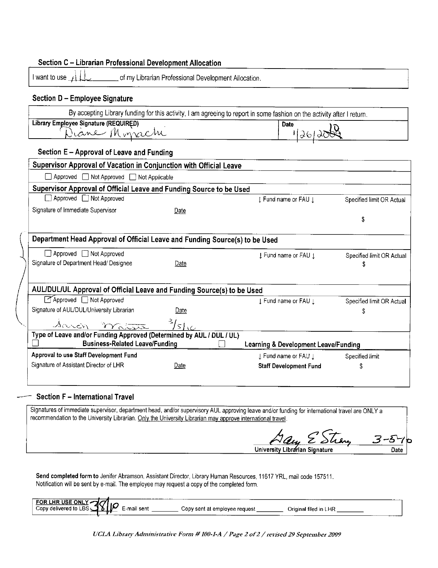| Section C – Librarian Professional Development Allocation                   |                                                      |                                                                                                                         |                           |
|-----------------------------------------------------------------------------|------------------------------------------------------|-------------------------------------------------------------------------------------------------------------------------|---------------------------|
| I want to use $\leftarrow$                                                  | of my Librarian Professional Development Allocation. |                                                                                                                         |                           |
| Section D - Employee Signature                                              |                                                      |                                                                                                                         |                           |
|                                                                             |                                                      | By accepting Library funding for this activity, I am agreeing to report in some fashion on the activity after I return. |                           |
| Library Employee Signature (REQUIRED)                                       |                                                      | <b>Date</b>                                                                                                             |                           |
| Diane Monrache                                                              |                                                      | 126120                                                                                                                  |                           |
| Section E - Approval of Leave and Funding                                   |                                                      |                                                                                                                         |                           |
| Supervisor Approval of Vacation in Conjunction with Official Leave          |                                                      |                                                                                                                         |                           |
| Approved ■ Not Approved ■ Not Applicable                                    |                                                      |                                                                                                                         |                           |
| Supervisor Approval of Official Leave and Funding Source to be Used         |                                                      |                                                                                                                         |                           |
| □ Approved □ Not Approved                                                   |                                                      | I Fund name or FAU I                                                                                                    | Specified limit OR Actual |
| Signature of Immediate Supervisor                                           | Date                                                 |                                                                                                                         |                           |
|                                                                             |                                                      |                                                                                                                         | \$                        |
| Department Head Approval of Official Leave and Funding Source(s) to be Used |                                                      |                                                                                                                         |                           |
|                                                                             |                                                      |                                                                                                                         |                           |
| □ Approved □ Not Approved                                                   |                                                      | J Fund name or FAU J                                                                                                    | Specified limit OR Actual |
| Signature of Department Head/ Designee                                      | Date                                                 |                                                                                                                         | \$                        |
|                                                                             |                                                      |                                                                                                                         |                           |
| AUL/DUL/UL Approval of Official Leave and Funding Source(s) to be Used      |                                                      |                                                                                                                         |                           |
| Approved Not Approved                                                       |                                                      | ↓ Fund name or FAU ↓                                                                                                    | Specified limit OR Actual |
| Signature of AUL/DUL/University Librarian                                   | Date                                                 |                                                                                                                         | Ŝ                         |
| Sarch mater 3/5/10                                                          |                                                      |                                                                                                                         |                           |
| Type of Leave and/or Funding Approved (Determined by AUL / DUL / UL)        |                                                      |                                                                                                                         |                           |
| <b>Business-Related Leave/Funding</b>                                       |                                                      | Learning & Development Leave/Funding                                                                                    |                           |
| Approval to use Staff Development Fund                                      |                                                      | J Fund name or FAU J                                                                                                    | Specified limit           |
| Signature of Assistant Director of LHR                                      | Date                                                 | <b>Staff Development Fund</b>                                                                                           | \$                        |
|                                                                             |                                                      |                                                                                                                         |                           |
|                                                                             |                                                      |                                                                                                                         |                           |

#### **Section F - International Travel**

Signatures of immediate supervisor, department head, and/or supervisory AUL approving leave and/or funding for international travel are ONLY a recommendation to the University Librarian. Only the University Librarian may approve international travel.

EStrang 3-5 University Librarian Signature Date

Send completed form to Jenifer Abramson, Assistant Director, Library Human Resources, 11617 YRL, mail code 157511. Notification will be sent by e-mail. The employee may request a copy of the completed form.

| FOR LHR USE ONLY -<br>Copy delivered to LBS<br>------ | -mail sent<br>----- | -----<br>_________<br>Original filed in LHR<br>Copy sent at employee request |        |
|-------------------------------------------------------|---------------------|------------------------------------------------------------------------------|--------|
|                                                       |                     |                                                                              | ______ |

UCLA Library Administrative Form # 100-1-A / Page 2 of 2 / revised 29 September 2009